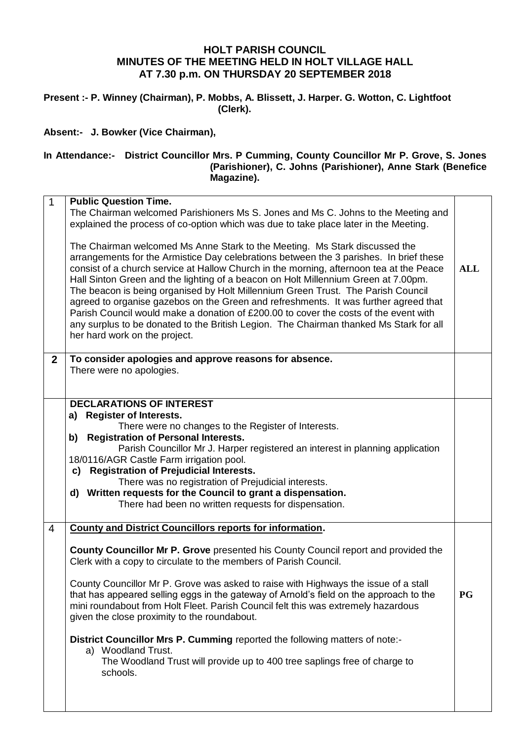## **HOLT PARISH COUNCIL MINUTES OF THE MEETING HELD IN HOLT VILLAGE HALL AT 7.30 p.m. ON THURSDAY 20 SEPTEMBER 2018**

**Present :- P. Winney (Chairman), P. Mobbs, A. Blissett, J. Harper. G. Wotton, C. Lightfoot (Clerk).**

**Absent:- J. Bowker (Vice Chairman),**

## **In Attendance:- District Councillor Mrs. P Cumming, County Councillor Mr P. Grove, S. Jones (Parishioner), C. Johns (Parishioner), Anne Stark (Benefice Magazine).**

| $\mathbf{1}$     | <b>Public Question Time.</b>                                                                                                                                                                                                                                                                                                                                                                                                                                                                                                                                                                                                                                                                                                                         |            |
|------------------|------------------------------------------------------------------------------------------------------------------------------------------------------------------------------------------------------------------------------------------------------------------------------------------------------------------------------------------------------------------------------------------------------------------------------------------------------------------------------------------------------------------------------------------------------------------------------------------------------------------------------------------------------------------------------------------------------------------------------------------------------|------------|
|                  | The Chairman welcomed Parishioners Ms S. Jones and Ms C. Johns to the Meeting and<br>explained the process of co-option which was due to take place later in the Meeting.                                                                                                                                                                                                                                                                                                                                                                                                                                                                                                                                                                            |            |
|                  | The Chairman welcomed Ms Anne Stark to the Meeting. Ms Stark discussed the<br>arrangements for the Armistice Day celebrations between the 3 parishes. In brief these<br>consist of a church service at Hallow Church in the morning, afternoon tea at the Peace<br>Hall Sinton Green and the lighting of a beacon on Holt Millennium Green at 7.00pm.<br>The beacon is being organised by Holt Millennium Green Trust. The Parish Council<br>agreed to organise gazebos on the Green and refreshments. It was further agreed that<br>Parish Council would make a donation of £200.00 to cover the costs of the event with<br>any surplus to be donated to the British Legion. The Chairman thanked Ms Stark for all<br>her hard work on the project. | <b>ALL</b> |
| $\boldsymbol{2}$ | To consider apologies and approve reasons for absence.<br>There were no apologies.                                                                                                                                                                                                                                                                                                                                                                                                                                                                                                                                                                                                                                                                   |            |
|                  | <b>DECLARATIONS OF INTEREST</b><br>a) Register of Interests.<br>There were no changes to the Register of Interests.<br>b)<br><b>Registration of Personal Interests.</b><br>Parish Councillor Mr J. Harper registered an interest in planning application<br>18/0116/AGR Castle Farm irrigation pool.<br>c) Registration of Prejudicial Interests.<br>There was no registration of Prejudicial interests.<br>d) Written requests for the Council to grant a dispensation.<br>There had been no written requests for dispensation.                                                                                                                                                                                                                     |            |
| $\overline{4}$   | <b>County and District Councillors reports for information.</b><br><b>County Councillor Mr P. Grove presented his County Council report and provided the</b><br>Clerk with a copy to circulate to the members of Parish Council.<br>County Councillor Mr P. Grove was asked to raise with Highways the issue of a stall<br>that has appeared selling eggs in the gateway of Arnold's field on the approach to the<br>mini roundabout from Holt Fleet. Parish Council felt this was extremely hazardous<br>given the close proximity to the roundabout.<br>District Councillor Mrs P. Cumming reported the following matters of note:-<br>a) Woodland Trust.<br>The Woodland Trust will provide up to 400 tree saplings free of charge to<br>schools. | <b>PG</b>  |
|                  |                                                                                                                                                                                                                                                                                                                                                                                                                                                                                                                                                                                                                                                                                                                                                      |            |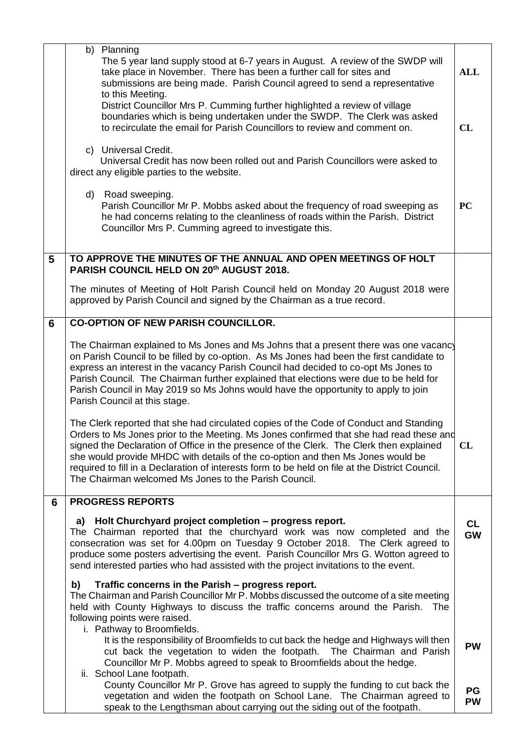|   | b) Planning<br>The 5 year land supply stood at 6-7 years in August. A review of the SWDP will<br>take place in November. There has been a further call for sites and<br>submissions are being made. Parish Council agreed to send a representative<br>to this Meeting.                                                                                                                                                                                                                                                     | <b>ALL</b>             |
|---|----------------------------------------------------------------------------------------------------------------------------------------------------------------------------------------------------------------------------------------------------------------------------------------------------------------------------------------------------------------------------------------------------------------------------------------------------------------------------------------------------------------------------|------------------------|
|   | District Councillor Mrs P. Cumming further highlighted a review of village<br>boundaries which is being undertaken under the SWDP. The Clerk was asked<br>to recirculate the email for Parish Councillors to review and comment on.                                                                                                                                                                                                                                                                                        | CL                     |
|   | c) Universal Credit.<br>Universal Credit has now been rolled out and Parish Councillors were asked to<br>direct any eligible parties to the website.                                                                                                                                                                                                                                                                                                                                                                       |                        |
|   | d) Road sweeping.<br>Parish Councillor Mr P. Mobbs asked about the frequency of road sweeping as<br>he had concerns relating to the cleanliness of roads within the Parish. District<br>Councillor Mrs P. Cumming agreed to investigate this.                                                                                                                                                                                                                                                                              | <b>PC</b>              |
| 5 | TO APPROVE THE MINUTES OF THE ANNUAL AND OPEN MEETINGS OF HOLT<br>PARISH COUNCIL HELD ON 20th AUGUST 2018.                                                                                                                                                                                                                                                                                                                                                                                                                 |                        |
|   | The minutes of Meeting of Holt Parish Council held on Monday 20 August 2018 were<br>approved by Parish Council and signed by the Chairman as a true record.                                                                                                                                                                                                                                                                                                                                                                |                        |
| 6 | <b>CO-OPTION OF NEW PARISH COUNCILLOR.</b>                                                                                                                                                                                                                                                                                                                                                                                                                                                                                 |                        |
|   | The Chairman explained to Ms Jones and Ms Johns that a present there was one vacancy<br>on Parish Council to be filled by co-option. As Ms Jones had been the first candidate to<br>express an interest in the vacancy Parish Council had decided to co-opt Ms Jones to<br>Parish Council. The Chairman further explained that elections were due to be held for<br>Parish Council in May 2019 so Ms Johns would have the opportunity to apply to join<br>Parish Council at this stage.                                    |                        |
|   | The Clerk reported that she had circulated copies of the Code of Conduct and Standing<br>Orders to Ms Jones prior to the Meeting. Ms Jones confirmed that she had read these and<br>signed the Declaration of Office in the presence of the Clerk. The Clerk then explained<br>she would provide MHDC with details of the co-option and then Ms Jones would be<br>required to fill in a Declaration of interests form to be held on file at the District Council.<br>The Chairman welcomed Ms Jones to the Parish Council. | CL                     |
| 6 | <b>PROGRESS REPORTS</b>                                                                                                                                                                                                                                                                                                                                                                                                                                                                                                    |                        |
|   | a) Holt Churchyard project completion - progress report.<br>The Chairman reported that the churchyard work was now completed and the<br>consecration was set for 4.00pm on Tuesday 9 October 2018. The Clerk agreed to<br>produce some posters advertising the event. Parish Councillor Mrs G. Wotton agreed to<br>send interested parties who had assisted with the project invitations to the event.                                                                                                                     | <b>CL</b><br><b>GW</b> |
|   | Traffic concerns in the Parish - progress report.<br>b)<br>The Chairman and Parish Councillor Mr P. Mobbs discussed the outcome of a site meeting<br>held with County Highways to discuss the traffic concerns around the Parish.<br>The<br>following points were raised.<br>i. Pathway to Broomfields.                                                                                                                                                                                                                    |                        |
|   | It is the responsibility of Broomfields to cut back the hedge and Highways will then<br>cut back the vegetation to widen the footpath. The Chairman and Parish<br>Councillor Mr P. Mobbs agreed to speak to Broomfields about the hedge.<br>ii. School Lane footpath.                                                                                                                                                                                                                                                      | <b>PW</b>              |
|   | County Councillor Mr P. Grove has agreed to supply the funding to cut back the<br>vegetation and widen the footpath on School Lane. The Chairman agreed to<br>speak to the Lengthsman about carrying out the siding out of the footpath.                                                                                                                                                                                                                                                                                   | PG<br><b>PW</b>        |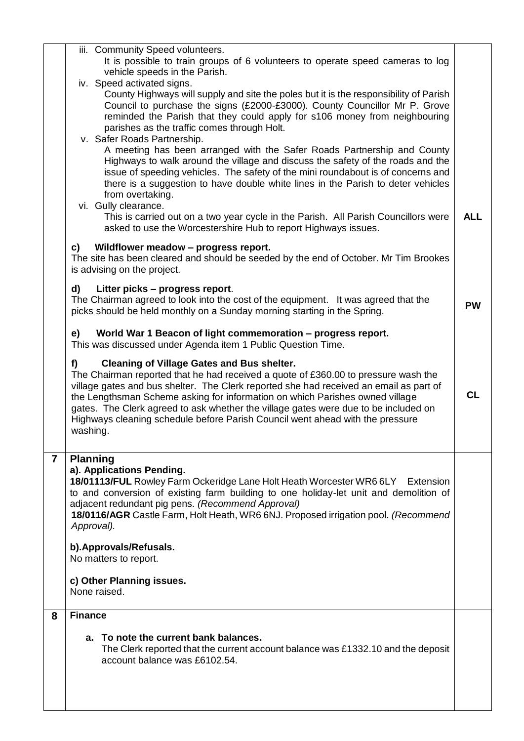|                | iii. Community Speed volunteers.<br>It is possible to train groups of 6 volunteers to operate speed cameras to log<br>vehicle speeds in the Parish.                                                                                                                                                                                                                                                                                                                                                         |            |  |  |  |  |  |
|----------------|-------------------------------------------------------------------------------------------------------------------------------------------------------------------------------------------------------------------------------------------------------------------------------------------------------------------------------------------------------------------------------------------------------------------------------------------------------------------------------------------------------------|------------|--|--|--|--|--|
|                | iv. Speed activated signs.<br>County Highways will supply and site the poles but it is the responsibility of Parish<br>Council to purchase the signs (£2000-£3000). County Councillor Mr P. Grove<br>reminded the Parish that they could apply for s106 money from neighbouring<br>parishes as the traffic comes through Holt.                                                                                                                                                                              |            |  |  |  |  |  |
|                | v. Safer Roads Partnership.<br>A meeting has been arranged with the Safer Roads Partnership and County<br>Highways to walk around the village and discuss the safety of the roads and the<br>issue of speeding vehicles. The safety of the mini roundabout is of concerns and<br>there is a suggestion to have double white lines in the Parish to deter vehicles<br>from overtaking.                                                                                                                       |            |  |  |  |  |  |
|                | vi. Gully clearance.<br>This is carried out on a two year cycle in the Parish. All Parish Councillors were<br>asked to use the Worcestershire Hub to report Highways issues.                                                                                                                                                                                                                                                                                                                                | <b>ALL</b> |  |  |  |  |  |
|                | Wildflower meadow - progress report.<br>c)<br>The site has been cleared and should be seeded by the end of October. Mr Tim Brookes<br>is advising on the project.                                                                                                                                                                                                                                                                                                                                           |            |  |  |  |  |  |
|                | d)<br>Litter picks – progress report.<br>The Chairman agreed to look into the cost of the equipment. It was agreed that the<br>picks should be held monthly on a Sunday morning starting in the Spring.                                                                                                                                                                                                                                                                                                     | <b>PW</b>  |  |  |  |  |  |
|                | World War 1 Beacon of light commemoration - progress report.<br>e)<br>This was discussed under Agenda item 1 Public Question Time.                                                                                                                                                                                                                                                                                                                                                                          |            |  |  |  |  |  |
|                | <b>Cleaning of Village Gates and Bus shelter.</b><br>f)<br>The Chairman reported that he had received a quote of £360.00 to pressure wash the<br>village gates and bus shelter. The Clerk reported she had received an email as part of<br>the Lengthsman Scheme asking for information on which Parishes owned village<br>gates. The Clerk agreed to ask whether the village gates were due to be included on<br>Highways cleaning schedule before Parish Council went ahead with the pressure<br>washing. | <b>CL</b>  |  |  |  |  |  |
| $\overline{7}$ | <b>Planning</b><br>a). Applications Pending.<br>18/01113/FUL Rowley Farm Ockeridge Lane Holt Heath Worcester WR6 6LY Extension<br>to and conversion of existing farm building to one holiday-let unit and demolition of<br>adjacent redundant pig pens. (Recommend Approval)<br>18/0116/AGR Castle Farm, Holt Heath, WR6 6NJ. Proposed irrigation pool. (Recommend<br>Approval).                                                                                                                            |            |  |  |  |  |  |
|                | b). Approvals/Refusals.<br>No matters to report.                                                                                                                                                                                                                                                                                                                                                                                                                                                            |            |  |  |  |  |  |
|                | c) Other Planning issues.<br>None raised.                                                                                                                                                                                                                                                                                                                                                                                                                                                                   |            |  |  |  |  |  |
| 8              | <b>Finance</b>                                                                                                                                                                                                                                                                                                                                                                                                                                                                                              |            |  |  |  |  |  |
|                | a. To note the current bank balances.<br>The Clerk reported that the current account balance was £1332.10 and the deposit<br>account balance was £6102.54.                                                                                                                                                                                                                                                                                                                                                  |            |  |  |  |  |  |
|                |                                                                                                                                                                                                                                                                                                                                                                                                                                                                                                             |            |  |  |  |  |  |